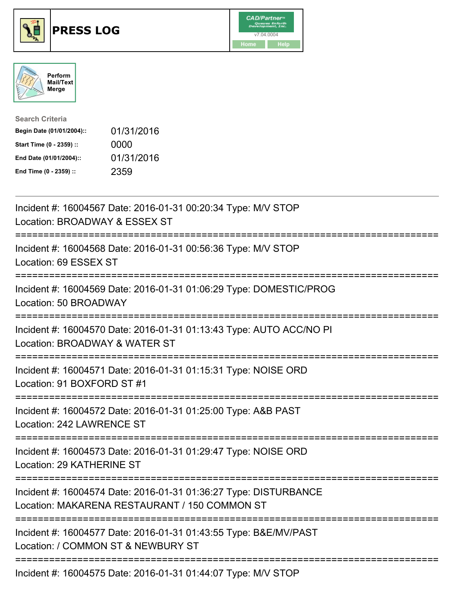





| <b>Search Criteria</b>    |            |
|---------------------------|------------|
| Begin Date (01/01/2004):: | 01/31/2016 |
| Start Time (0 - 2359) ::  | 0000       |
| End Date (01/01/2004)::   | 01/31/2016 |
| End Time (0 - 2359) ::    | 2359       |

| Incident #: 16004567 Date: 2016-01-31 00:20:34 Type: M/V STOP<br>Location: BROADWAY & ESSEX ST<br>=========       |
|-------------------------------------------------------------------------------------------------------------------|
| Incident #: 16004568 Date: 2016-01-31 00:56:36 Type: M/V STOP<br>Location: 69 ESSEX ST                            |
| Incident #: 16004569 Date: 2016-01-31 01:06:29 Type: DOMESTIC/PROG<br>Location: 50 BROADWAY                       |
| Incident #: 16004570 Date: 2016-01-31 01:13:43 Type: AUTO ACC/NO PI<br>Location: BROADWAY & WATER ST              |
| Incident #: 16004571 Date: 2016-01-31 01:15:31 Type: NOISE ORD<br>Location: 91 BOXFORD ST #1                      |
| Incident #: 16004572 Date: 2016-01-31 01:25:00 Type: A&B PAST<br>Location: 242 LAWRENCE ST                        |
| Incident #: 16004573 Date: 2016-01-31 01:29:47 Type: NOISE ORD<br>Location: 29 KATHERINE ST                       |
| Incident #: 16004574 Date: 2016-01-31 01:36:27 Type: DISTURBANCE<br>Location: MAKARENA RESTAURANT / 150 COMMON ST |
| Incident #: 16004577 Date: 2016-01-31 01:43:55 Type: B&E/MV/PAST<br>Location: / COMMON ST & NEWBURY ST            |
| Incident #: 16004575 Date: 2016-01-31 01:44:07 Type: M/V STOP                                                     |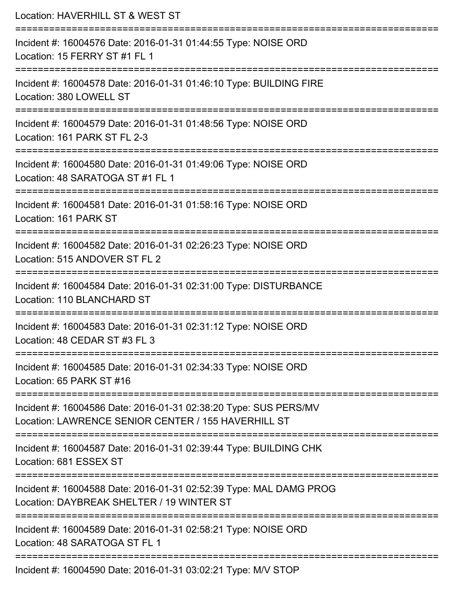| Location: HAVERHILL ST & WEST ST                                                                                                              |
|-----------------------------------------------------------------------------------------------------------------------------------------------|
| Incident #: 16004576 Date: 2016-01-31 01:44:55 Type: NOISE ORD<br>Location: 15 FERRY ST #1 FL 1                                               |
| Incident #: 16004578 Date: 2016-01-31 01:46:10 Type: BUILDING FIRE<br>Location: 380 LOWELL ST                                                 |
| Incident #: 16004579 Date: 2016-01-31 01:48:56 Type: NOISE ORD<br>Location: 161 PARK ST FL 2-3                                                |
| Incident #: 16004580 Date: 2016-01-31 01:49:06 Type: NOISE ORD<br>Location: 48 SARATOGA ST #1 FL 1                                            |
| Incident #: 16004581 Date: 2016-01-31 01:58:16 Type: NOISE ORD<br>Location: 161 PARK ST                                                       |
| Incident #: 16004582 Date: 2016-01-31 02:26:23 Type: NOISE ORD<br>Location: 515 ANDOVER ST FL 2                                               |
| Incident #: 16004584 Date: 2016-01-31 02:31:00 Type: DISTURBANCE<br>Location: 110 BLANCHARD ST                                                |
| Incident #: 16004583 Date: 2016-01-31 02:31:12 Type: NOISE ORD<br>Location: 48 CEDAR ST #3 FL 3<br>=================================          |
| Incident #: 16004585 Date: 2016-01-31 02:34:33 Type: NOISE ORD<br>Location: 65 PARK ST #16                                                    |
| Incident #: 16004586 Date: 2016-01-31 02:38:20 Type: SUS PERS/MV<br>Location: LAWRENCE SENIOR CENTER / 155 HAVERHILL ST                       |
| ================================<br>Incident #: 16004587 Date: 2016-01-31 02:39:44 Type: BUILDING CHK<br>Location: 681 ESSEX ST               |
| ==========================<br>Incident #: 16004588 Date: 2016-01-31 02:52:39 Type: MAL DAMG PROG<br>Location: DAYBREAK SHELTER / 19 WINTER ST |
| Incident #: 16004589 Date: 2016-01-31 02:58:21 Type: NOISE ORD<br>Location: 48 SARATOGA ST FL 1                                               |
| Incident #: 16004590 Date: 2016-01-31 03:02:21 Type: M/V STOP                                                                                 |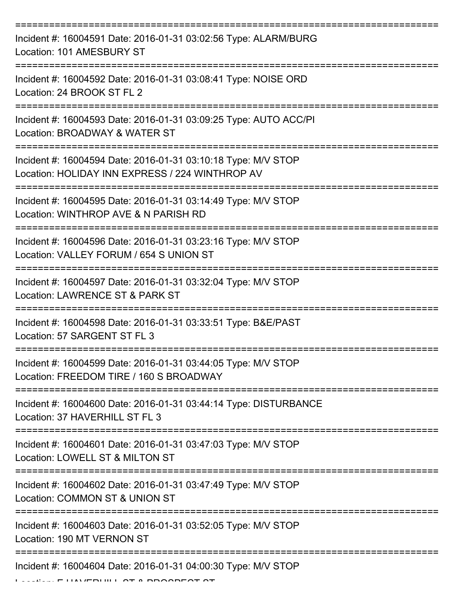| Incident #: 16004591 Date: 2016-01-31 03:02:56 Type: ALARM/BURG<br>Location: 101 AMESBURY ST                     |
|------------------------------------------------------------------------------------------------------------------|
| Incident #: 16004592 Date: 2016-01-31 03:08:41 Type: NOISE ORD<br>Location: 24 BROOK ST FL 2                     |
| Incident #: 16004593 Date: 2016-01-31 03:09:25 Type: AUTO ACC/PI<br>Location: BROADWAY & WATER ST                |
| Incident #: 16004594 Date: 2016-01-31 03:10:18 Type: M/V STOP<br>Location: HOLIDAY INN EXPRESS / 224 WINTHROP AV |
| Incident #: 16004595 Date: 2016-01-31 03:14:49 Type: M/V STOP<br>Location: WINTHROP AVE & N PARISH RD            |
| Incident #: 16004596 Date: 2016-01-31 03:23:16 Type: M/V STOP<br>Location: VALLEY FORUM / 654 S UNION ST         |
| Incident #: 16004597 Date: 2016-01-31 03:32:04 Type: M/V STOP<br>Location: LAWRENCE ST & PARK ST                 |
| Incident #: 16004598 Date: 2016-01-31 03:33:51 Type: B&E/PAST<br>Location: 57 SARGENT ST FL 3                    |
| Incident #: 16004599 Date: 2016-01-31 03:44:05 Type: M/V STOP<br>Location: FREEDOM TIRE / 160 S BROADWAY         |
| Incident #: 16004600 Date: 2016-01-31 03:44:14 Type: DISTURBANCE<br>Location: 37 HAVERHILL ST FL 3               |
| Incident #: 16004601 Date: 2016-01-31 03:47:03 Type: M/V STOP<br>Location: LOWELL ST & MILTON ST                 |
| Incident #: 16004602 Date: 2016-01-31 03:47:49 Type: M/V STOP<br>Location: COMMON ST & UNION ST                  |
| Incident #: 16004603 Date: 2016-01-31 03:52:05 Type: M/V STOP<br>Location: 190 MT VERNON ST                      |
| Incident #: 16004604 Date: 2016-01-31 04:00:30 Type: M/V STOP                                                    |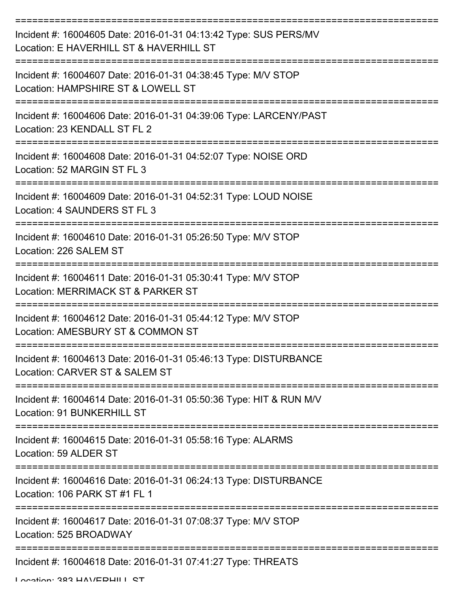| Incident #: 16004605 Date: 2016-01-31 04:13:42 Type: SUS PERS/MV<br>Location: E HAVERHILL ST & HAVERHILL ST |
|-------------------------------------------------------------------------------------------------------------|
| Incident #: 16004607 Date: 2016-01-31 04:38:45 Type: M/V STOP<br>Location: HAMPSHIRE ST & LOWELL ST         |
| Incident #: 16004606 Date: 2016-01-31 04:39:06 Type: LARCENY/PAST<br>Location: 23 KENDALL ST FL 2           |
| Incident #: 16004608 Date: 2016-01-31 04:52:07 Type: NOISE ORD<br>Location: 52 MARGIN ST FL 3               |
| Incident #: 16004609 Date: 2016-01-31 04:52:31 Type: LOUD NOISE<br>Location: 4 SAUNDERS ST FL 3             |
| Incident #: 16004610 Date: 2016-01-31 05:26:50 Type: M/V STOP<br>Location: 226 SALEM ST                     |
| Incident #: 16004611 Date: 2016-01-31 05:30:41 Type: M/V STOP<br>Location: MERRIMACK ST & PARKER ST         |
| Incident #: 16004612 Date: 2016-01-31 05:44:12 Type: M/V STOP<br>Location: AMESBURY ST & COMMON ST          |
| Incident #: 16004613 Date: 2016-01-31 05:46:13 Type: DISTURBANCE<br>Location: CARVER ST & SALEM ST          |
| Incident #: 16004614 Date: 2016-01-31 05:50:36 Type: HIT & RUN M/V<br>Location: 91 BUNKERHILL ST            |
| Incident #: 16004615 Date: 2016-01-31 05:58:16 Type: ALARMS<br>Location: 59 ALDER ST                        |
| Incident #: 16004616 Date: 2016-01-31 06:24:13 Type: DISTURBANCE<br>Location: 106 PARK ST #1 FL 1           |
| Incident #: 16004617 Date: 2016-01-31 07:08:37 Type: M/V STOP<br>Location: 525 BROADWAY                     |
| Incident #: 16004618 Date: 2016-01-31 07:41:27 Type: THREATS                                                |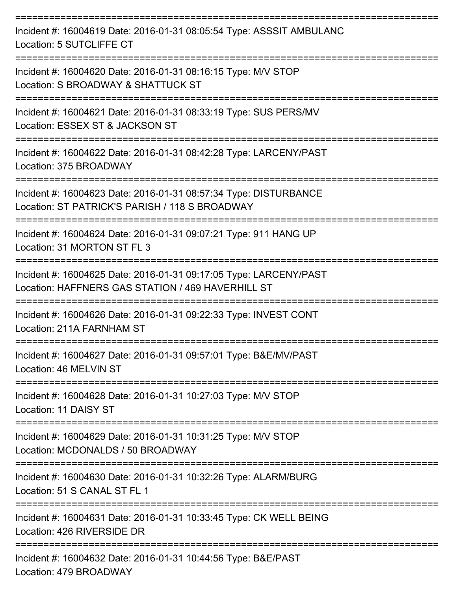| Incident #: 16004619 Date: 2016-01-31 08:05:54 Type: ASSSIT AMBULANC<br>Location: 5 SUTCLIFFE CT                       |
|------------------------------------------------------------------------------------------------------------------------|
| Incident #: 16004620 Date: 2016-01-31 08:16:15 Type: M/V STOP<br>Location: S BROADWAY & SHATTUCK ST                    |
| Incident #: 16004621 Date: 2016-01-31 08:33:19 Type: SUS PERS/MV<br>Location: ESSEX ST & JACKSON ST                    |
| Incident #: 16004622 Date: 2016-01-31 08:42:28 Type: LARCENY/PAST<br>Location: 375 BROADWAY                            |
| Incident #: 16004623 Date: 2016-01-31 08:57:34 Type: DISTURBANCE<br>Location: ST PATRICK'S PARISH / 118 S BROADWAY     |
| Incident #: 16004624 Date: 2016-01-31 09:07:21 Type: 911 HANG UP<br>Location: 31 MORTON ST FL 3                        |
| Incident #: 16004625 Date: 2016-01-31 09:17:05 Type: LARCENY/PAST<br>Location: HAFFNERS GAS STATION / 469 HAVERHILL ST |
| Incident #: 16004626 Date: 2016-01-31 09:22:33 Type: INVEST CONT<br>Location: 211A FARNHAM ST                          |
| Incident #: 16004627 Date: 2016-01-31 09:57:01 Type: B&E/MV/PAST<br>Location: 46 MELVIN ST                             |
| Incident #: 16004628 Date: 2016-01-31 10:27:03 Type: M/V STOP<br>Location: 11 DAISY ST                                 |
| Incident #: 16004629 Date: 2016-01-31 10:31:25 Type: M/V STOP<br>Location: MCDONALDS / 50 BROADWAY                     |
| Incident #: 16004630 Date: 2016-01-31 10:32:26 Type: ALARM/BURG<br>Location: 51 S CANAL ST FL 1                        |
| Incident #: 16004631 Date: 2016-01-31 10:33:45 Type: CK WELL BEING<br>Location: 426 RIVERSIDE DR                       |
| Incident #: 16004632 Date: 2016-01-31 10:44:56 Type: B&E/PAST<br>$A$ option: $A$ 70 DDO $A$ DIMAV                      |

Location: 479 BROADWAY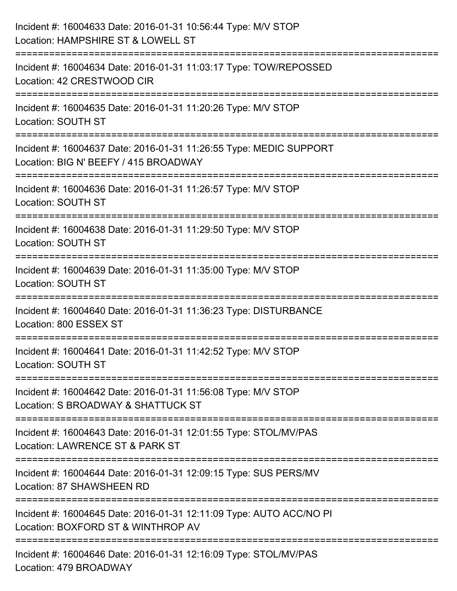| Incident #: 16004633 Date: 2016-01-31 10:56:44 Type: M/V STOP<br>Location: HAMPSHIRE ST & LOWELL ST                                                                     |
|-------------------------------------------------------------------------------------------------------------------------------------------------------------------------|
| :======================<br>Incident #: 16004634 Date: 2016-01-31 11:03:17 Type: TOW/REPOSSED<br>Location: 42 CRESTWOOD CIR                                              |
| Incident #: 16004635 Date: 2016-01-31 11:20:26 Type: M/V STOP<br>Location: SOUTH ST                                                                                     |
| Incident #: 16004637 Date: 2016-01-31 11:26:55 Type: MEDIC SUPPORT<br>Location: BIG N' BEEFY / 415 BROADWAY                                                             |
| Incident #: 16004636 Date: 2016-01-31 11:26:57 Type: M/V STOP<br><b>Location: SOUTH ST</b><br>================================<br>===================================== |
| Incident #: 16004638 Date: 2016-01-31 11:29:50 Type: M/V STOP<br>Location: SOUTH ST                                                                                     |
| Incident #: 16004639 Date: 2016-01-31 11:35:00 Type: M/V STOP<br>Location: SOUTH ST<br>===================================                                              |
| Incident #: 16004640 Date: 2016-01-31 11:36:23 Type: DISTURBANCE<br>Location: 800 ESSEX ST                                                                              |
| Incident #: 16004641 Date: 2016-01-31 11:42:52 Type: M/V STOP<br>Location: SOUTH ST                                                                                     |
| Incident #: 16004642 Date: 2016-01-31 11:56:08 Type: M/V STOP<br>Location: S BROADWAY & SHATTUCK ST                                                                     |
| Incident #: 16004643 Date: 2016-01-31 12:01:55 Type: STOL/MV/PAS<br>Location: LAWRENCE ST & PARK ST                                                                     |
| Incident #: 16004644 Date: 2016-01-31 12:09:15 Type: SUS PERS/MV<br>Location: 87 SHAWSHEEN RD                                                                           |
| Incident #: 16004645 Date: 2016-01-31 12:11:09 Type: AUTO ACC/NO PI<br>Location: BOXFORD ST & WINTHROP AV                                                               |
| Incident #: 16004646 Date: 2016-01-31 12:16:09 Type: STOL/MV/PAS<br>Location: 479 BROADWAY                                                                              |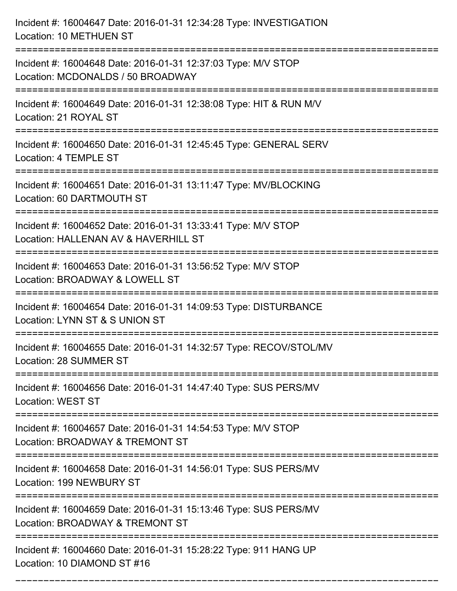| Incident #: 16004647 Date: 2016-01-31 12:34:28 Type: INVESTIGATION<br><b>Location: 10 METHUEN ST</b>                                 |
|--------------------------------------------------------------------------------------------------------------------------------------|
| Incident #: 16004648 Date: 2016-01-31 12:37:03 Type: M/V STOP<br>Location: MCDONALDS / 50 BROADWAY                                   |
| Incident #: 16004649 Date: 2016-01-31 12:38:08 Type: HIT & RUN M/V<br>Location: 21 ROYAL ST                                          |
| Incident #: 16004650 Date: 2016-01-31 12:45:45 Type: GENERAL SERV<br>Location: 4 TEMPLE ST                                           |
| Incident #: 16004651 Date: 2016-01-31 13:11:47 Type: MV/BLOCKING<br>Location: 60 DARTMOUTH ST                                        |
| Incident #: 16004652 Date: 2016-01-31 13:33:41 Type: M/V STOP<br>Location: HALLENAN AV & HAVERHILL ST                                |
| Incident #: 16004653 Date: 2016-01-31 13:56:52 Type: M/V STOP<br>Location: BROADWAY & LOWELL ST                                      |
| Incident #: 16004654 Date: 2016-01-31 14:09:53 Type: DISTURBANCE<br>Location: LYNN ST & S UNION ST                                   |
| Incident #: 16004655 Date: 2016-01-31 14:32:57 Type: RECOV/STOL/MV<br>Location: 28 SUMMER ST                                         |
| Incident #: 16004656 Date: 2016-01-31 14:47:40 Type: SUS PERS/MV<br><b>Location: WEST ST</b><br>------------------------------------ |
| =============================<br>Incident #: 16004657 Date: 2016-01-31 14:54:53 Type: M/V STOP<br>Location: BROADWAY & TREMONT ST    |
| Incident #: 16004658 Date: 2016-01-31 14:56:01 Type: SUS PERS/MV<br>Location: 199 NEWBURY ST                                         |
| Incident #: 16004659 Date: 2016-01-31 15:13:46 Type: SUS PERS/MV<br>Location: BROADWAY & TREMONT ST                                  |
| Incident #: 16004660 Date: 2016-01-31 15:28:22 Type: 911 HANG UP<br>Location: 10 DIAMOND ST #16                                      |

===========================================================================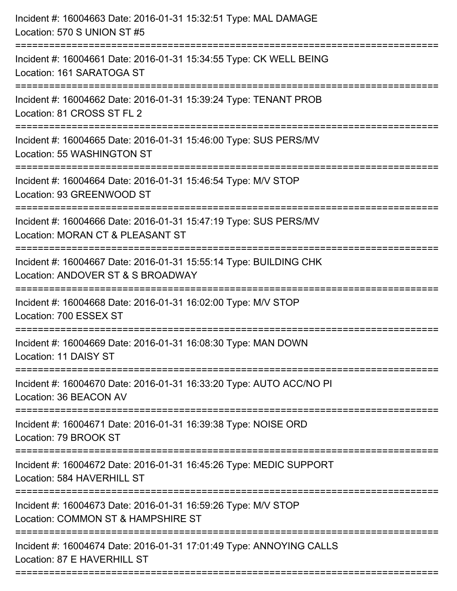| :==========================<br>Incident #: 16004661 Date: 2016-01-31 15:34:55 Type: CK WELL BEING<br>Location: 161 SARATOGA ST<br>Incident #: 16004662 Date: 2016-01-31 15:39:24 Type: TENANT PROB<br>Location: 81 CROSS ST FL 2<br>========================<br>Incident #: 16004665 Date: 2016-01-31 15:46:00 Type: SUS PERS/MV<br>Location: 55 WASHINGTON ST<br>Incident #: 16004664 Date: 2016-01-31 15:46:54 Type: M/V STOP<br>Location: 93 GREENWOOD ST<br>=================================<br>================================= |
|----------------------------------------------------------------------------------------------------------------------------------------------------------------------------------------------------------------------------------------------------------------------------------------------------------------------------------------------------------------------------------------------------------------------------------------------------------------------------------------------------------------------------------------|
|                                                                                                                                                                                                                                                                                                                                                                                                                                                                                                                                        |
|                                                                                                                                                                                                                                                                                                                                                                                                                                                                                                                                        |
|                                                                                                                                                                                                                                                                                                                                                                                                                                                                                                                                        |
|                                                                                                                                                                                                                                                                                                                                                                                                                                                                                                                                        |
| Incident #: 16004666 Date: 2016-01-31 15:47:19 Type: SUS PERS/MV<br>Location: MORAN CT & PLEASANT ST                                                                                                                                                                                                                                                                                                                                                                                                                                   |
| Incident #: 16004667 Date: 2016-01-31 15:55:14 Type: BUILDING CHK<br>Location: ANDOVER ST & S BROADWAY                                                                                                                                                                                                                                                                                                                                                                                                                                 |
| Incident #: 16004668 Date: 2016-01-31 16:02:00 Type: M/V STOP<br>Location: 700 ESSEX ST                                                                                                                                                                                                                                                                                                                                                                                                                                                |
| Incident #: 16004669 Date: 2016-01-31 16:08:30 Type: MAN DOWN<br>Location: 11 DAISY ST                                                                                                                                                                                                                                                                                                                                                                                                                                                 |
| Incident #: 16004670 Date: 2016-01-31 16:33:20 Type: AUTO ACC/NO PI<br>Location: 36 BEACON AV                                                                                                                                                                                                                                                                                                                                                                                                                                          |
| Incident #: 16004671 Date: 2016-01-31 16:39:38 Type: NOISE ORD<br>Location: 79 BROOK ST                                                                                                                                                                                                                                                                                                                                                                                                                                                |
| Incident #: 16004672 Date: 2016-01-31 16:45:26 Type: MEDIC SUPPORT<br>Location: 584 HAVERHILL ST                                                                                                                                                                                                                                                                                                                                                                                                                                       |
| Incident #: 16004673 Date: 2016-01-31 16:59:26 Type: M/V STOP<br>Location: COMMON ST & HAMPSHIRE ST                                                                                                                                                                                                                                                                                                                                                                                                                                    |
| Incident #: 16004674 Date: 2016-01-31 17:01:49 Type: ANNOYING CALLS<br>Location: 87 E HAVERHILL ST                                                                                                                                                                                                                                                                                                                                                                                                                                     |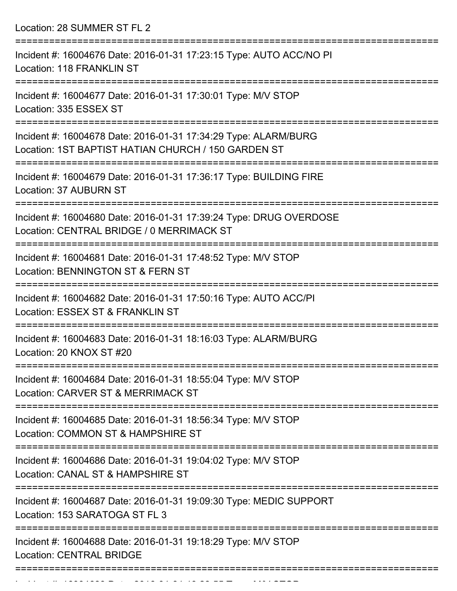Location: 28 SUMMER ST FL 2

| Incident #: 16004676 Date: 2016-01-31 17:23:15 Type: AUTO ACC/NO PI<br><b>Location: 118 FRANKLIN ST</b>                                  |
|------------------------------------------------------------------------------------------------------------------------------------------|
| Incident #: 16004677 Date: 2016-01-31 17:30:01 Type: M/V STOP<br>Location: 335 ESSEX ST                                                  |
| Incident #: 16004678 Date: 2016-01-31 17:34:29 Type: ALARM/BURG<br>Location: 1ST BAPTIST HATIAN CHURCH / 150 GARDEN ST                   |
| Incident #: 16004679 Date: 2016-01-31 17:36:17 Type: BUILDING FIRE<br>Location: 37 AUBURN ST                                             |
| Incident #: 16004680 Date: 2016-01-31 17:39:24 Type: DRUG OVERDOSE<br>Location: CENTRAL BRIDGE / 0 MERRIMACK ST<br>===================== |
| Incident #: 16004681 Date: 2016-01-31 17:48:52 Type: M/V STOP<br>Location: BENNINGTON ST & FERN ST                                       |
| Incident #: 16004682 Date: 2016-01-31 17:50:16 Type: AUTO ACC/PI<br>Location: ESSEX ST & FRANKLIN ST                                     |
| Incident #: 16004683 Date: 2016-01-31 18:16:03 Type: ALARM/BURG<br>Location: 20 KNOX ST #20<br>==============                            |
| Incident #: 16004684 Date: 2016-01-31 18:55:04 Type: M/V STOP<br>Location: CARVER ST & MERRIMACK ST                                      |
| Incident #: 16004685 Date: 2016-01-31 18:56:34 Type: M/V STOP<br>Location: COMMON ST & HAMPSHIRE ST                                      |
| Incident #: 16004686 Date: 2016-01-31 19:04:02 Type: M/V STOP<br>Location: CANAL ST & HAMPSHIRE ST                                       |
| Incident #: 16004687 Date: 2016-01-31 19:09:30 Type: MEDIC SUPPORT<br>Location: 153 SARATOGA ST FL 3                                     |
| Incident #: 16004688 Date: 2016-01-31 19:18:29 Type: M/V STOP<br><b>Location: CENTRAL BRIDGE</b>                                         |
|                                                                                                                                          |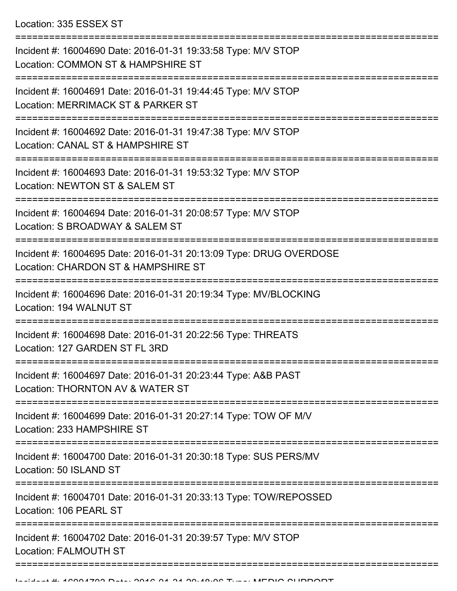| Incident #: 16004690 Date: 2016-01-31 19:33:58 Type: M/V STOP<br>Location: COMMON ST & HAMPSHIRE ST       |
|-----------------------------------------------------------------------------------------------------------|
| Incident #: 16004691 Date: 2016-01-31 19:44:45 Type: M/V STOP<br>Location: MERRIMACK ST & PARKER ST       |
| Incident #: 16004692 Date: 2016-01-31 19:47:38 Type: M/V STOP<br>Location: CANAL ST & HAMPSHIRE ST        |
| Incident #: 16004693 Date: 2016-01-31 19:53:32 Type: M/V STOP<br>Location: NEWTON ST & SALEM ST           |
| Incident #: 16004694 Date: 2016-01-31 20:08:57 Type: M/V STOP<br>Location: S BROADWAY & SALEM ST          |
| Incident #: 16004695 Date: 2016-01-31 20:13:09 Type: DRUG OVERDOSE<br>Location: CHARDON ST & HAMPSHIRE ST |
| Incident #: 16004696 Date: 2016-01-31 20:19:34 Type: MV/BLOCKING<br>Location: 194 WALNUT ST               |
| Incident #: 16004698 Date: 2016-01-31 20:22:56 Type: THREATS<br>Location: 127 GARDEN ST FL 3RD            |
| Incident #: 16004697 Date: 2016-01-31 20:23:44 Type: A&B PAST<br>Location: THORNTON AV & WATER ST         |
| Incident #: 16004699 Date: 2016-01-31 20:27:14 Type: TOW OF M/V<br>Location: 233 HAMPSHIRE ST             |
| Incident #: 16004700 Date: 2016-01-31 20:30:18 Type: SUS PERS/MV<br>Location: 50 ISLAND ST                |
| Incident #: 16004701 Date: 2016-01-31 20:33:13 Type: TOW/REPOSSED<br>Location: 106 PEARL ST               |
| Incident #: 16004702 Date: 2016-01-31 20:39:57 Type: M/V STOP<br><b>Location: FALMOUTH ST</b>             |
|                                                                                                           |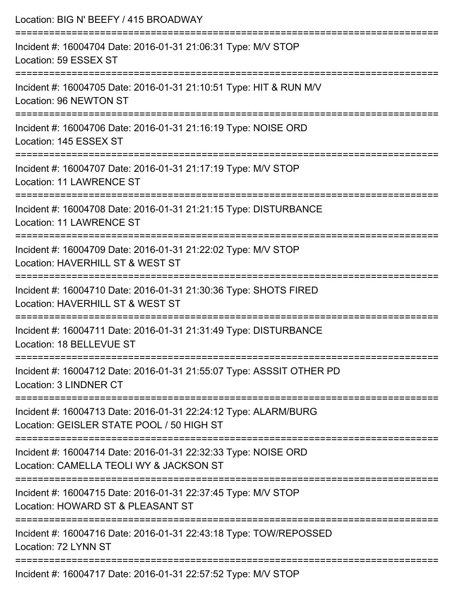| Location: BIG N' BEEFY / 415 BROADWAY                                                                        |
|--------------------------------------------------------------------------------------------------------------|
| Incident #: 16004704 Date: 2016-01-31 21:06:31 Type: M/V STOP<br>Location: 59 ESSEX ST                       |
| Incident #: 16004705 Date: 2016-01-31 21:10:51 Type: HIT & RUN M/V<br>Location: 96 NEWTON ST                 |
| Incident #: 16004706 Date: 2016-01-31 21:16:19 Type: NOISE ORD<br>Location: 145 ESSEX ST                     |
| Incident #: 16004707 Date: 2016-01-31 21:17:19 Type: M/V STOP<br>Location: 11 LAWRENCE ST                    |
| Incident #: 16004708 Date: 2016-01-31 21:21:15 Type: DISTURBANCE<br><b>Location: 11 LAWRENCE ST</b>          |
| Incident #: 16004709 Date: 2016-01-31 21:22:02 Type: M/V STOP<br>Location: HAVERHILL ST & WEST ST            |
| Incident #: 16004710 Date: 2016-01-31 21:30:36 Type: SHOTS FIRED<br>Location: HAVERHILL ST & WEST ST         |
| Incident #: 16004711 Date: 2016-01-31 21:31:49 Type: DISTURBANCE<br>Location: 18 BELLEVUE ST                 |
| Incident #: 16004712 Date: 2016-01-31 21:55:07 Type: ASSSIT OTHER PD<br>Location: 3 LINDNER CT               |
| Incident #: 16004713 Date: 2016-01-31 22:24:12 Type: ALARM/BURG<br>Location: GEISLER STATE POOL / 50 HIGH ST |
| Incident #: 16004714 Date: 2016-01-31 22:32:33 Type: NOISE ORD<br>Location: CAMELLA TEOLI WY & JACKSON ST    |
| Incident #: 16004715 Date: 2016-01-31 22:37:45 Type: M/V STOP<br>Location: HOWARD ST & PLEASANT ST           |
| Incident #: 16004716 Date: 2016-01-31 22:43:18 Type: TOW/REPOSSED<br>Location: 72 LYNN ST                    |
| Incident #: 16004717 Date: 2016-01-31 22:57:52 Type: M/V STOP                                                |